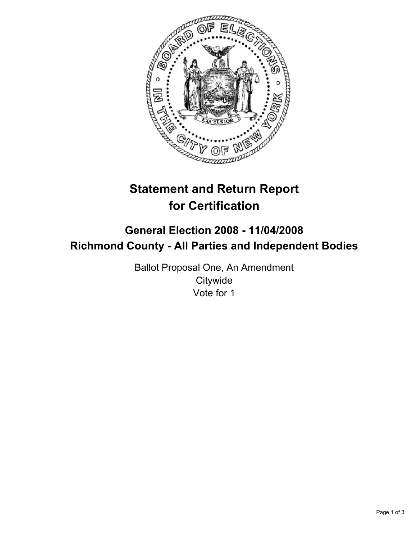

# **Statement and Return Report for Certification**

# **General Election 2008 - 11/04/2008 Richmond County - All Parties and Independent Bodies**

Ballot Proposal One, An Amendment **Citywide** Vote for 1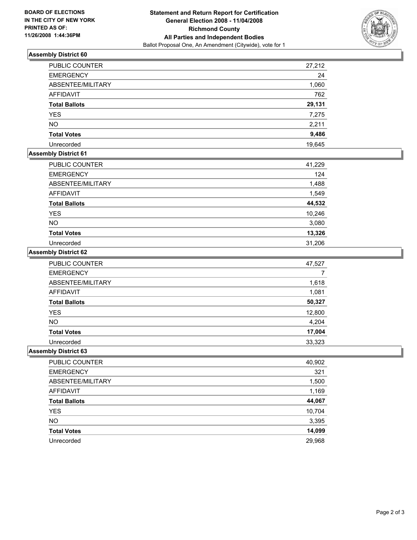

### **Assembly District 60**

| PUBLIC COUNTER       | 27,212 |
|----------------------|--------|
| <b>EMERGENCY</b>     | 24     |
| ABSENTEE/MILITARY    | 1,060  |
| <b>AFFIDAVIT</b>     | 762    |
| <b>Total Ballots</b> | 29,131 |
| <b>YES</b>           | 7,275  |
| <b>NO</b>            | 2,211  |
| <b>Total Votes</b>   | 9,486  |
| Unrecorded           | 19,645 |

# **Assembly District 61**

| PUBLIC COUNTER       | 41,229 |
|----------------------|--------|
| <b>EMERGENCY</b>     | 124    |
| ABSENTEE/MILITARY    | 1,488  |
| <b>AFFIDAVIT</b>     | 1,549  |
| <b>Total Ballots</b> | 44,532 |
| <b>YES</b>           | 10,246 |
| NO.                  | 3,080  |
| <b>Total Votes</b>   | 13,326 |
| Unrecorded           | 31,206 |

#### **Assembly District 62**

| <b>PUBLIC COUNTER</b> | 47,527 |
|-----------------------|--------|
| <b>EMERGENCY</b>      |        |
| ABSENTEE/MILITARY     | 1,618  |
| AFFIDAVIT             | 1,081  |
| <b>Total Ballots</b>  | 50,327 |
| <b>YES</b>            | 12,800 |
| <b>NO</b>             | 4,204  |
| <b>Total Votes</b>    | 17,004 |
| Unrecorded            | 33,323 |

#### **Assembly District 63**

| 40,902 |
|--------|
| 321    |
| 1,500  |
| 1,169  |
| 44,067 |
| 10,704 |
| 3,395  |
| 14,099 |
| 29,968 |
|        |